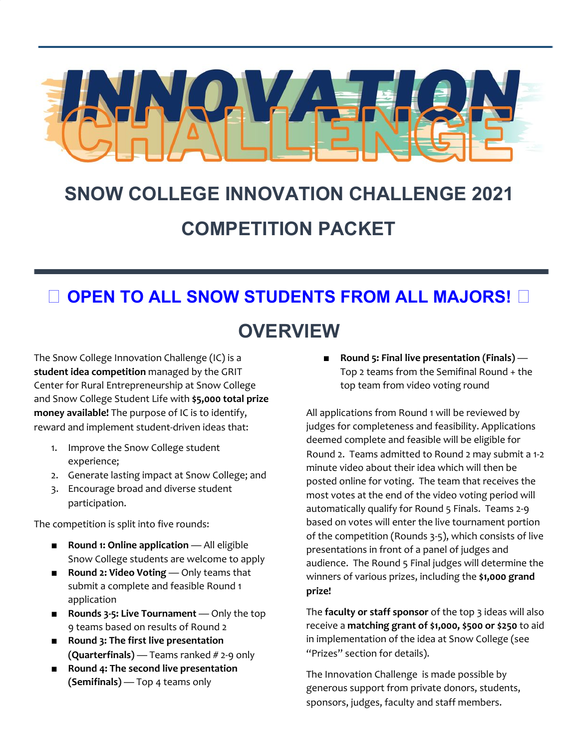

# **SNOW COLLEGE INNOVATION CHALLENGE 2021 COMPETITION PACKET**

### **OPEN TO ALL SNOW STUDENTS FROM ALL MAJORS!**

### **OVERVIEW**

The Snow College Innovation Challenge (IC) is a **student idea competition** managed by the GRIT Center for Rural Entrepreneurship at Snow College and Snow College Student Life with **\$5,000 total prize money available!** The purpose of IC is to identify, reward and implement student-driven ideas that:

- 1. Improve the Snow College student experience;
- 2. Generate lasting impact at Snow College; and
- 3. Encourage broad and diverse student participation.

The competition is split into five rounds:

- **Round 1: Online application** All eligible Snow College students are welcome to apply
- **Round 2: Video Voting** Only teams that submit a complete and feasible Round 1 application
- **Rounds 3-5: Live Tournament** Only the top 9 teams based on results of Round 2
- **Round 3: The first live presentation (Quarterfinals)** — Teams ranked # 2-9 only
- **Round 4: The second live presentation (Semifinals)** — Top 4 teams only

■ **Round 5: Final live presentation (Finals)** — Top 2 teams from the Semifinal Round + the top team from video voting round

All applications from Round 1 will be reviewed by judges for completeness and feasibility. Applications deemed complete and feasible will be eligible for Round 2. Teams admitted to Round 2 may submit a 1-2 minute video about their idea which will then be posted online for voting. The team that receives the most votes at the end of the video voting period will automatically qualify for Round 5 Finals. Teams 2-9 based on votes will enter the live tournament portion of the competition (Rounds 3-5), which consists of live presentations in front of a panel of judges and audience. The Round 5 Final judges will determine the winners of various prizes, including the **\$1,000 grand prize!**

The **faculty or staff sponsor** of the top 3 ideas will also receive a **matching grant of \$1,000, \$500 or \$250** to aid in implementation of the idea at Snow College (see "Prizes" section for details).

The Innovation Challenge is made possible by generous support from private donors, students, sponsors, judges, faculty and staff members.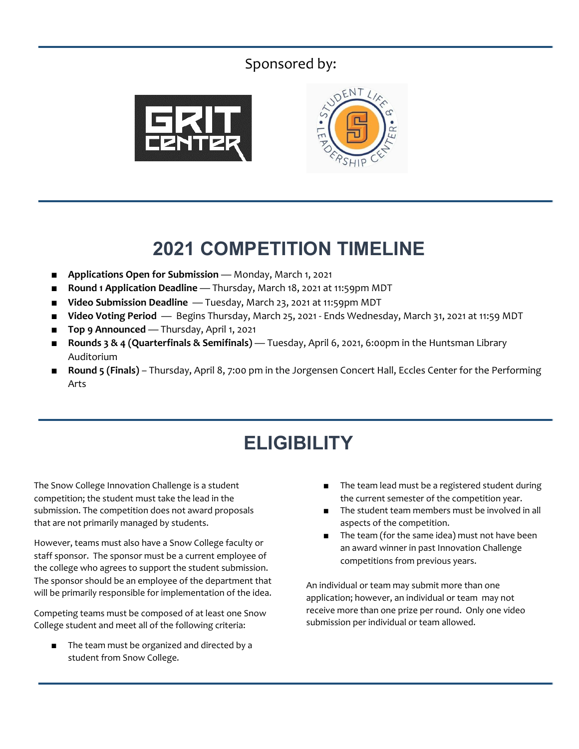### Sponsored by:





## **2021 COMPETITION TIMELINE**

- **Applications Open for Submission** Monday, March 1, 2021
- **Round 1 Application Deadline** Thursday, March 18, 2021 at 11:59pm MDT
- **Video Submission Deadline** Tuesday, March 23, 2021 at 11:59pm MDT
- **Video Voting Period** Begins Thursday, March 25, 2021 Ends Wednesday, March 31, 2021 at 11:59 MDT
- **Top 9 Announced** Thursday, April 1, 2021
- **Rounds 3 & 4 (Quarterfinals & Semifinals)** Tuesday, April 6, 2021, 6:00pm in the Huntsman Library Auditorium
- **Round 5 (Finals)** Thursday, April 8, 7:00 pm in the Jorgensen Concert Hall, Eccles Center for the Performing Arts

# **ELIGIBILITY**

The Snow College Innovation Challenge is a student competition; the student must take the lead in the submission. The competition does not award proposals that are not primarily managed by students.

However, teams must also have a Snow College faculty or staff sponsor. The sponsor must be a current employee of the college who agrees to support the student submission. The sponsor should be an employee of the department that will be primarily responsible for implementation of the idea.

Competing teams must be composed of at least one Snow College student and meet all of the following criteria:

The team must be organized and directed by a student from Snow College.

- The team lead must be a registered student during the current semester of the competition year.
- The student team members must be involved in all aspects of the competition.
- The team (for the same idea) must not have been an award winner in past Innovation Challenge competitions from previous years.

An individual or team may submit more than one application; however, an individual or team may not receive more than one prize per round. Only one video submission per individual or team allowed.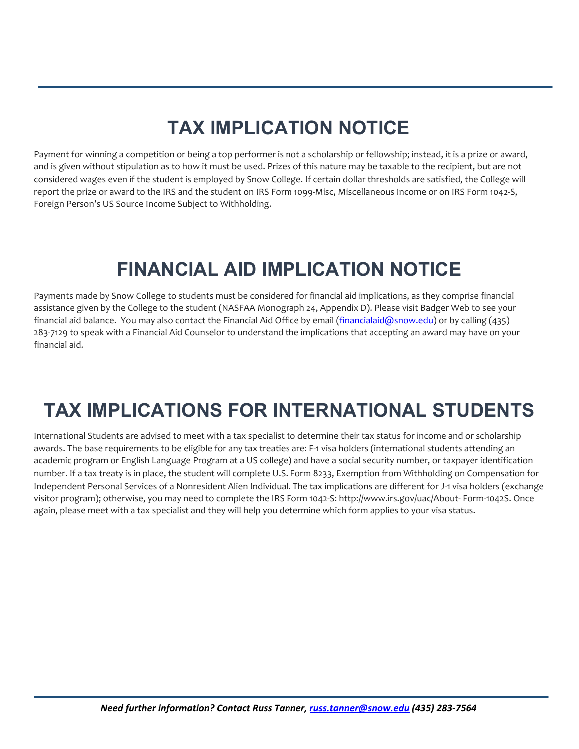# **TAX IMPLICATION NOTICE**

Payment for winning a competition or being a top performer is not a scholarship or fellowship; instead, it is a prize or award, and is given without stipulation as to how it must be used. Prizes of this nature may be taxable to the recipient, but are not considered wages even if the student is employed by Snow College. If certain dollar thresholds are satisfied, the College will report the prize or award to the IRS and the student on IRS Form 1099-Misc, Miscellaneous Income or on IRS Form 1042-S, Foreign Person's US Source Income Subject to Withholding.

# **FINANCIAL AID IMPLICATION NOTICE**

Payments made by Snow College to students must be considered for financial aid implications, as they comprise financial assistance given by the College to the student (NASFAA Monograph 24, Appendix D). Please visit Badger Web to see your financial aid balance. You may also contact the Financial Aid Office by email [\(financialaid@snow.edu](mailto:financialaid@snow.edu)) or by calling (435) 283-7129 to speak with a Financial Aid Counselor to understand the implications that accepting an award may have on your financial aid.

# **TAX IMPLICATIONS FOR INTERNATIONAL STUDENTS**

International Students are advised to meet with a tax specialist to determine their tax status for income and or scholarship awards. The base requirements to be eligible for any tax treaties are: F-1 visa holders (international students attending an academic program or English Language Program at a US college) and have a social security number, or taxpayer identification number. If a tax treaty is in place, the student will complete U.S. Form 8233, Exemption from Withholding on Compensation for Independent Personal Services of a Nonresident Alien Individual. The tax implications are different for J-1 visa holders (exchange visitor program); otherwise, you may need to complete the IRS Form 1042-S: <http://www.irs.gov/uac/About-> Form-1042S. Once again, please meet with a tax specialist and they will help you determine which form applies to your visa status.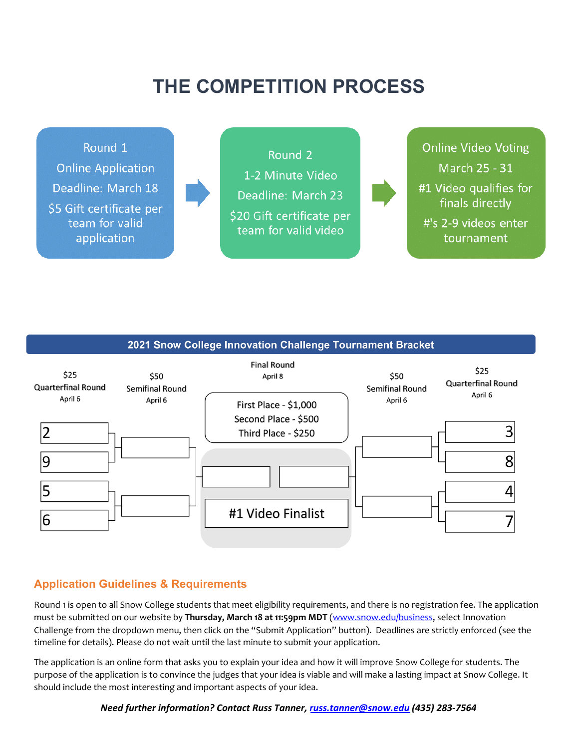# **THE COMPETITION PROCESS**



#### 2021 Snow College Innovation Challenge Tournament Bracket



### **Application Guidelines & Requirements**

Round 1 is open to all Snow College students that meet eligibility requirements, and there is no registration fee. The application must be submitted on our website by **Thursday, March 18 at 11:59pm MDT** [\(www.snow.edu/business,](http://www.snow.edu/business) select Innovation Challenge from the dropdown menu, then click on the "Submit Application" button). Deadlines are strictly enforced (see the timeline for details). Please do not wait until the last minute to submit your application.

The application is an online form that asks you to explain your idea and how it will improve Snow College for students. The purpose of the application is to convince the judges that your idea is viable and will make a lasting impact at Snow College. It should include the most interesting and important aspects of your idea.

*Need further information? Contact Russ Tanner, [russ.tanner@snow.edu](mailto:russ.tanner@snow.edu) (435) 283-7564*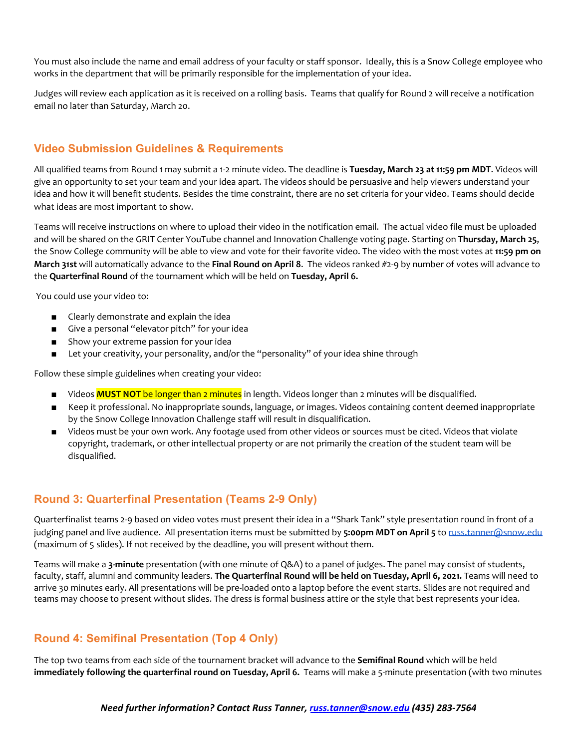You must also include the name and email address of your faculty or staff sponsor. Ideally, this is a Snow College employee who works in the department that will be primarily responsible for the implementation of your idea.

Judges will review each application as it is received on a rolling basis. Teams that qualify for Round 2 will receive a notification email no later than Saturday, March 20.

### **Video Submission Guidelines & Requirements**

All qualified teams from Round 1 may submit a 1-2 minute video. The deadline is **Tuesday, March 23 at 11:59 pm MDT**. Videos will give an opportunity to set your team and your idea apart. The videos should be persuasive and help viewers understand your idea and how it will benefit students. Besides the time constraint, there are no set criteria for your video. Teams should decide what ideas are most important to show.

Teams will receive instructions on where to upload their video in the notification email. The actual video file must be uploaded and will be shared on the GRIT Center YouTube channel and Innovation Challenge voting page. Starting on **Thursday, March 25**, the Snow College community will be able to view and vote for their favorite video. The video with the most votes at **11:59 pm on March 31st** will automatically advance to the **Final Round on April 8**. The videos ranked #2-9 by number of votes will advance to the **Quarterfinal Round** of the tournament which will be held on **Tuesday, April 6.**

You could use your video to:

- Clearly demonstrate and explain the idea
- Give a personal "elevator pitch" for your idea
- Show your extreme passion for your idea
- Let your creativity, your personality, and/or the "personality" of your idea shine through

Follow these simple guidelines when creating your video:

- Videos **MUST NOT** be longer than 2 minutes in length. Videos longer than 2 minutes will be disqualified.
- Keep it professional. No inappropriate sounds, language, or images. Videos containing content deemed inappropriate by the Snow College Innovation Challenge staff will result in disqualification.
- Videos must be your own work. Any footage used from other videos or sources must be cited. Videos that violate copyright, trademark, or other intellectual property or are not primarily the creation of the student team will be disqualified.

### **Round 3: Quarterfinal Presentation (Teams 2-9 Only)**

Quarterfinalist teams 2-9 based on video votes must present their idea in a "Shark Tank" style presentation round in front of a judging panel and live audience. All presentation items must be submitted by **5:00pm MDT on April 5** to [russ.tanner@snow.edu](mailto:russ.tanner@snow.edu) (maximum of 5 slides). If not received by the deadline, you will present without them.

Teams will make a **3-minute** presentation (with one minute of Q&A) to a panel of judges. The panel may consist of students, faculty, staff, alumni and community leaders. **The Quarterfinal Round will be held on Tuesday, April 6, 2021.** Teams will need to arrive 30 minutes early. All presentations will be pre-loaded onto a laptop before the event starts. Slides are not required and teams may choose to present without slides. The dress is formal business attire or the style that best represents your idea.

### **Round 4: Semifinal Presentation (Top 4 Only)**

The top two teams from each side of the tournament bracket will advance to the **Semifinal Round** which will be held **immediately following the quarterfinal round on Tuesday, April 6.** Teams will make a 5-minute presentation (with two minutes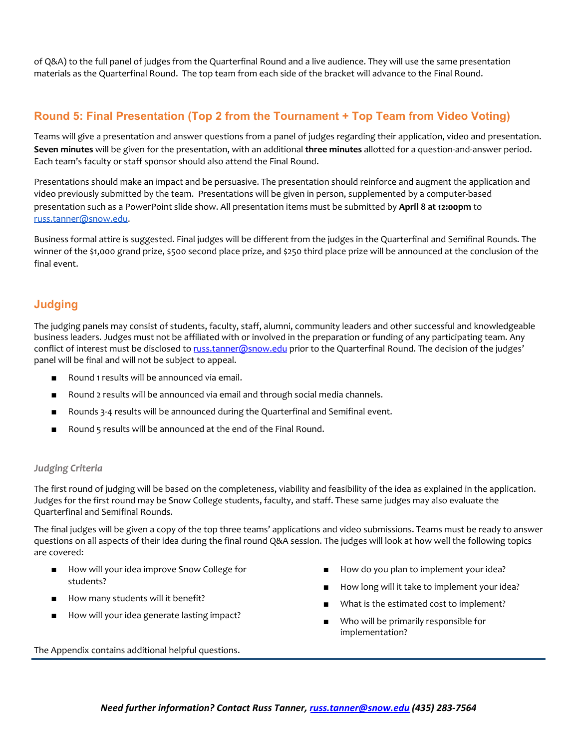of Q&A) to the full panel of judges from the Quarterfinal Round and a live audience. They will use the same presentation materials as the Quarterfinal Round. The top team from each side of the bracket will advance to the Final Round.

### **Round 5: Final Presentation (Top 2 from the Tournament + Top Team from Video Voting)**

Teams will give a presentation and answer questions from a panel of judges regarding their application, video and presentation. **Seven minutes** will be given for the presentation, with an additional **three minutes** allotted for a question-and-answer period. Each team's faculty or staff sponsor should also attend the Final Round.

Presentations should make an impact and be persuasive. The presentation should reinforce and augment the application and video previously submitted by the team. Presentations will be given in person, supplemented by a computer-based presentation such as a PowerPoint slide show. All presentation items must be submitted by **April 8 at 12:00pm** to [russ.tanner@snow.edu](mailto:russ.tanner@snow.edu).

Business formal attire is suggested. Final judges will be different from the judges in the Quarterfinal and Semifinal Rounds. The winner of the \$1,000 grand prize, \$500 second place prize, and \$250 third place prize will be announced at the conclusion of the final event.

### **Judging**

The judging panels may consist of students, faculty, staff, alumni, community leaders and other successful and knowledgeable business leaders. Judges must not be affiliated with or involved in the preparation or funding of any participating team. Any conflict of interest must be disclosed to [russ.tanner@snow.edu](mailto:russ.tanner@snow.edu) prior to the Quarterfinal Round. The decision of the judges' panel will be final and will not be subject to appeal.

- Round 1 results will be announced via email.
- Round 2 results will be announced via email and through social media channels.
- Rounds 3-4 results will be announced during the Quarterfinal and Semifinal event.
- Round 5 results will be announced at the end of the Final Round.

#### *Judging Criteria*

The first round of judging will be based on the completeness, viability and feasibility of the idea as explained in the application. Judges for the first round may be Snow College students, faculty, and staff. These same judges may also evaluate the Quarterfinal and Semifinal Rounds.

The final judges will be given a copy of the top three teams' applications and video submissions. Teams must be ready to answer questions on all aspects of their idea during the final round Q&A session. The judges will look at how well the following topics are covered:

- How will your idea improve Snow College for students?
- How many students will it benefit?
- How will your idea generate lasting impact?
- How do you plan to implement your idea?
- How long will it take to implement your idea?
- What is the estimated cost to implement?
- Who will be primarily responsible for implementation?

The Appendix contains additional helpful questions.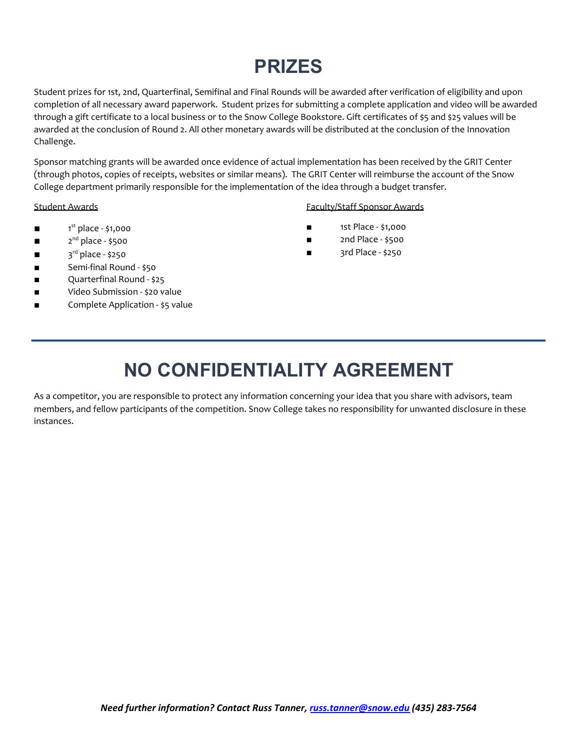# **PRIZES**

Student prizes for 1st, 2nd, Quarterfinal, Semifinal and Final Rounds will be awarded after verification of eligibility and upon completion of all necessary award paperwork. Student prizes for submitting a complete application and video will be awarded through a gift certificate to a local business or to the Snow College Bookstore. Gift certificates of \$5 and \$25 values will be awarded at the conclusion of Round 2. All other monetary awards will be distributed at the conclusion of the Innovation Challenge.

Sponsor matching grants will be awarded once evidence of actual implementation has been received by the GRIT Center (through photos, copies of receipts, websites or similar means). The GRIT Center will reimburse the account of the Snow College department primarily responsible for the implementation of the idea through a budget transfer.

- $\blacksquare$  1<sup>st</sup> place \$1,000
- $\blacksquare$  2<sup>nd</sup> place \$500
- $\blacksquare$  3<sup>rd</sup> place \$250
- Semi-final Round \$50
- Quarterfinal Round \$25
- Video Submission \$20 value
- Complete Application \$5 value

#### Student Awards Faculty/Staff Sponsor Awards

- 1st Place \$1,000
- 2nd Place \$500
- 3rd Place \$250

### **NO CONFIDENTIALITY AGREEMENT**

As a competitor, you are responsible to protect any information concerning your idea that you share with advisors, team members, and fellow participants of the competition. Snow College takes no responsibility for unwanted disclosure in these instances.